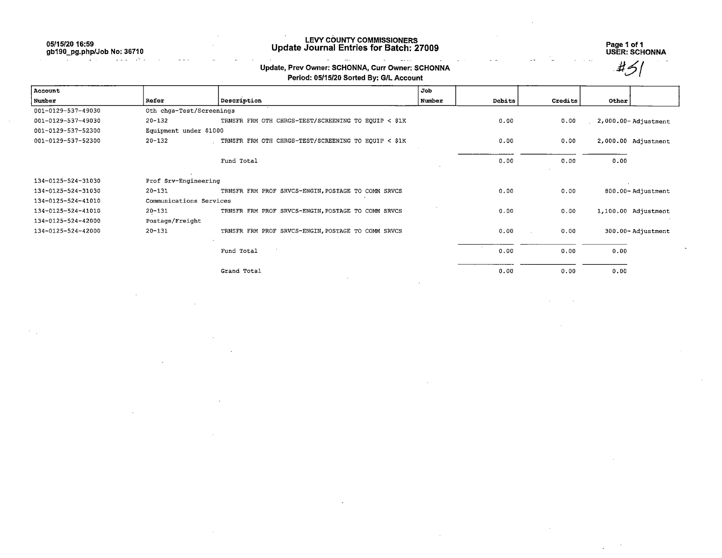05/15/20 16:59 gb190\_pg.php/Job No; 36710

> $\sim$   $\sim$ **CONTRACTOR**

# LEVY COUNTY COMMISSIONERS Update Journal Entries for Batch: 27009 Page 1 of 1

Update, Prev Owner: SCHONNA, Curr Owner: SCHONNA

USER: SCHONNA

### Period: 05/15/20 Sorted By: G/L Account Account and the set of the set of the set of the set of the set of the set of the set of the set of the set of the set of the set of the set of the set of the set of the set of the set of the set of the set of the set of t Number Refer Description Number Debits Credits Other 001-0129-537-49030 0th chgs-Test/Screenings 001-0129-537-49030 20-132 TRNSFR FRM OTH CHRGS-TEST/SCREENING TO EQUIP < \$1K 0.00 0.00 0.00 2,000.00- Adjustment 001-0129-537-52300 Equipment under \$1000 001-0129-537-52300 20-132 TRNSFR FRM OTH CHRGS-TEST/SCREENING TO EQUIP < \$1K 0.00 0.00 2,000.00 Adjustment Fund Total 0.00 0.00 0.00 134-0125-524-31030 Prof Srv-Engineering 134-0125-524-31030 20-131 TRNSFR FRM PROF SRVCS-ENGIN,POSTAGE TO COMM SRVCS 0.00 0.00 800.00- Adjustment 134-0125-524-41010 Communications Services 134-0125-524-41010 20-131 TRNSFR FRM PROF SRVCS-ENGIN,POSTAGE TO COMM SRVCS 0.00 0.00 1,100.00 Adjustment 134-0125-524-42000 Postage/Freight 134-0125-524-42000 20-131 TRNSFR FRM PROF SRVCS-ENGIN,POSTAGE TO COMM SRVCS 0.00 0.00 300.00- Adjustment Fund Total 0.00 0.00 0.00 Grand Total 0.00 0.00 0.00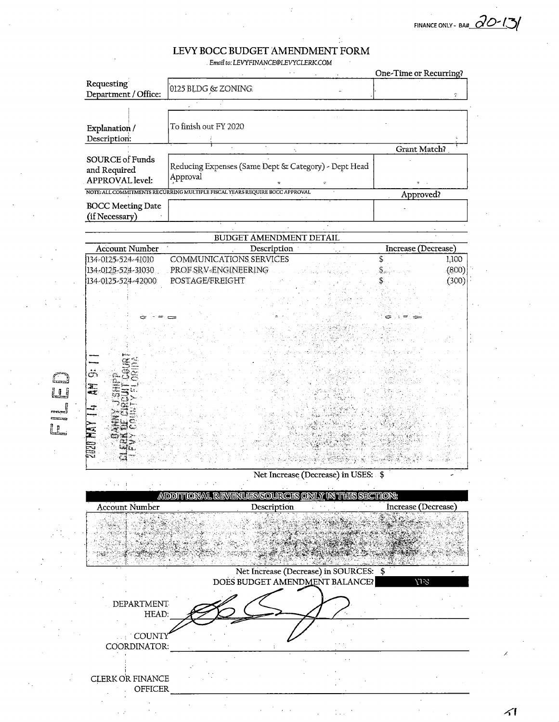FINANCE ONLY - BAH 20-13/

## LEVY BOCC BUDGET AMENDMENT FORM

÷.

Email to: LEVYFINANCE@LEVYCLERK.COM  $\sim$ 

 $\mathbb{C}$ 

|                |                                                           |                                                                             | One-Time or Recurring? |                |
|----------------|-----------------------------------------------------------|-----------------------------------------------------------------------------|------------------------|----------------|
|                | Requesting<br>Department / Office:                        | $0125$ BLDG & ZONING                                                        |                        | ¢.             |
|                |                                                           |                                                                             |                        |                |
|                | Explanation /                                             | To finish out FY 2020                                                       |                        |                |
|                | Description:                                              |                                                                             |                        |                |
|                |                                                           | ÷.                                                                          | Grant Match?           |                |
|                | SOURCE of Funds<br>and Required<br><b>APPROVAL</b> level: | Reducing Expenses (Same Dept & Category) - Dept Head<br>Approval            |                        |                |
|                |                                                           | NOTE: ALL COMMITMENTS RECURRING MULTIPLE FISCAL YEARS REQUIRE BOCC APPROVAL | Approved?              |                |
|                | <b>BOCC Meeting Date</b><br>(if Necessary)                |                                                                             |                        |                |
|                |                                                           |                                                                             |                        |                |
|                | <b>BUDGET AMENDMENT DETAIL</b>                            |                                                                             |                        |                |
|                | <b>Account Number</b>                                     | Description :                                                               | Increase (Decrease)    |                |
|                | 134-0125-524-41010<br>134-0125-524-31030                  | <b>COMMUNICATIONS SERVICES</b><br>PROF SRV-ENGINEERING                      |                        | 1,100<br>(800) |
|                | 134-0125-524-42000                                        | POSTAGE/FREIGHT                                                             |                        | (300)          |
|                |                                                           |                                                                             |                        |                |
|                |                                                           |                                                                             |                        |                |
|                |                                                           |                                                                             |                        |                |
|                |                                                           |                                                                             |                        |                |
|                |                                                           |                                                                             |                        |                |
|                |                                                           |                                                                             |                        |                |
|                |                                                           |                                                                             |                        |                |
|                | ö                                                         |                                                                             |                        |                |
| 10             | 聖世                                                        |                                                                             |                        |                |
| .<br>Farsterni |                                                           |                                                                             |                        |                |
|                |                                                           |                                                                             |                        |                |
|                |                                                           |                                                                             |                        |                |
|                |                                                           |                                                                             |                        |                |
|                |                                                           |                                                                             |                        |                |
|                | Net Increase (Decrease) in USES: \$                       |                                                                             |                        |                |
|                | ADDITIONAL REVENUES/SOURCES ONLY IN THIS SECTION:         |                                                                             |                        |                |
|                | <b>Account Number</b>                                     | Description                                                                 | Increase (Decrease)    |                |
|                |                                                           |                                                                             |                        |                |
|                |                                                           |                                                                             |                        |                |
|                |                                                           |                                                                             |                        |                |
|                |                                                           |                                                                             |                        |                |
|                |                                                           | Net Increase (Decrease) in SOURCES: \$                                      |                        |                |
|                |                                                           | DOES BUDGET AMENDMENT BALANCE?                                              | 713                    |                |
|                |                                                           |                                                                             |                        |                |
|                | DEPARTMENT                                                |                                                                             |                        |                |
|                | HEAD:                                                     |                                                                             |                        |                |
|                | COUNTY                                                    |                                                                             |                        |                |
|                | COORDINATOR:                                              |                                                                             |                        |                |
|                |                                                           |                                                                             |                        |                |
|                | CLERK OR FINANCE<br>OFFICER                               |                                                                             |                        |                |
|                |                                                           |                                                                             |                        |                |

 $\mathbb{N}$  .

 $\mathcal{L}$